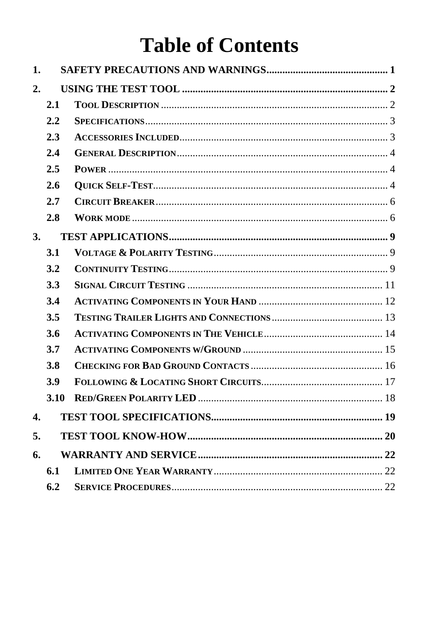# **Table of Contents**

| 1.               |      |  |
|------------------|------|--|
| $\overline{2}$ . |      |  |
|                  | 2.1  |  |
|                  | 2.2  |  |
|                  | 2.3  |  |
|                  | 2.4  |  |
|                  | 2.5  |  |
|                  | 2.6  |  |
|                  | 2.7  |  |
|                  | 2.8  |  |
| 3.               |      |  |
|                  | 3.1  |  |
|                  | 3.2  |  |
|                  | 3.3  |  |
|                  | 3.4  |  |
|                  | 3.5  |  |
|                  | 3.6  |  |
|                  | 3.7  |  |
|                  | 3.8  |  |
|                  | 3.9  |  |
|                  | 3.10 |  |
| 4.               |      |  |
| 5.               |      |  |
| 6.               |      |  |
|                  | 6.1  |  |
|                  | 6.2  |  |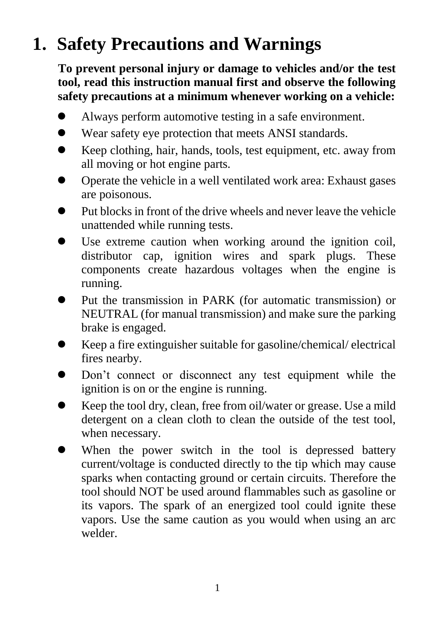# <span id="page-1-0"></span>**1. Safety Precautions and Warnings**

**To prevent personal injury or damage to vehicles and/or the test tool, read this instruction manual first and observe the following safety precautions at a minimum whenever working on a vehicle:**

- Always perform automotive testing in a safe environment.
- Wear safety eye protection that meets ANSI standards.
- Keep clothing, hair, hands, tools, test equipment, etc. away from all moving or hot engine parts.
- Operate the vehicle in a well ventilated work area: Exhaust gases are poisonous.
- $\bullet$  Put blocks in front of the drive wheels and never leave the vehicle unattended while running tests.
- Use extreme caution when working around the ignition coil, distributor cap, ignition wires and spark plugs. These components create hazardous voltages when the engine is running.
- Put the transmission in PARK (for automatic transmission) or NEUTRAL (for manual transmission) and make sure the parking brake is engaged.
- Keep a fire extinguisher suitable for gasoline/chemical/ electrical fires nearby.
- Don't connect or disconnect any test equipment while the ignition is on or the engine is running.
- Keep the tool dry, clean, free from oil/water or grease. Use a mild detergent on a clean cloth to clean the outside of the test tool, when necessary.
- When the power switch in the tool is depressed battery current/voltage is conducted directly to the tip which may cause sparks when contacting ground or certain circuits. Therefore the tool should NOT be used around flammables such as gasoline or its vapors. The spark of an energized tool could ignite these vapors. Use the same caution as you would when using an arc welder.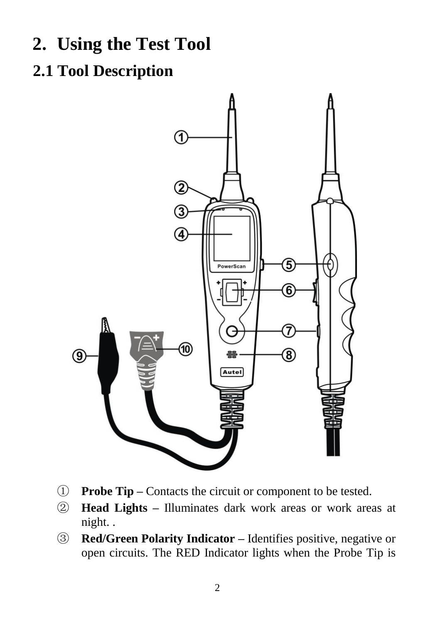- <span id="page-2-0"></span>**2. Using the Test Tool**
- <span id="page-2-1"></span>**2.1 Tool Description**



- ① **Probe Tip –** Contacts the circuit or component to be tested.
- ② **Head Lights –** Illuminates dark work areas or work areas at night. .
- ③ **Red/Green Polarity Indicator –** Identifies positive, negative or open circuits. The RED Indicator lights when the Probe Tip is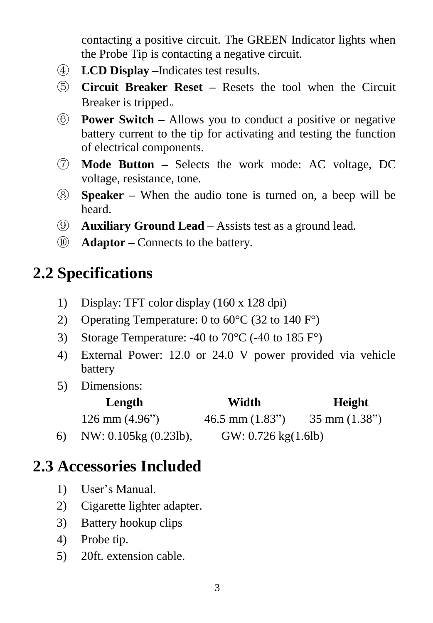contacting a positive circuit. The GREEN Indicator lights when the Probe Tip is contacting a negative circuit.

- ④ **LCD Display –**Indicates test results.
- ⑤ **Circuit Breaker Reset –** Resets the tool when the Circuit Breaker is tripped。
- ⑥ **Power Switch –** Allows you to conduct a positive or negative battery current to the tip for activating and testing the function of electrical components.
- ⑦ **Mode Button –** Selects the work mode: AC voltage, DC voltage, resistance, tone.
- ⑧ **Speaker –** When the audio tone is turned on, a beep will be heard.
- ⑨ **Auxiliary Ground Lead –** Assists test as a ground lead.
- ⑩ **Adaptor –** Connects to the battery.

### <span id="page-3-0"></span>**2.2 Specifications**

- 1) Display: TFT color display (160 x 128 dpi)
- 2) Operating Temperature: 0 to 60  $\mathbb{C}$  (32 to 140 F $\degree$ )
- 3) Storage Temperature: -40 to 70  $\mathbb{C}$  (-40 to 185 F $\degree$ )
- 4) External Power: 12.0 or 24.0 V power provided via vehicle battery
- 5) Dimensions:

|    | Length                          | Width                      | Height                         |
|----|---------------------------------|----------------------------|--------------------------------|
|    | $126 \text{ mm} (4.96^{\circ})$ | $46.5$ mm $(1.83^{\circ})$ | $35 \text{ mm} (1.38^{\circ})$ |
| 6) | NW: 0.105kg (0.23lb),           | GW: 0.726 kg(1.6lb)        |                                |

#### <span id="page-3-1"></span>**2.3 Accessories Included**

- 1) User"s Manual.
- 2) Cigarette lighter adapter.
- 3) Battery hookup clips
- 4) Probe tip.
- 5) 20ft. extension cable.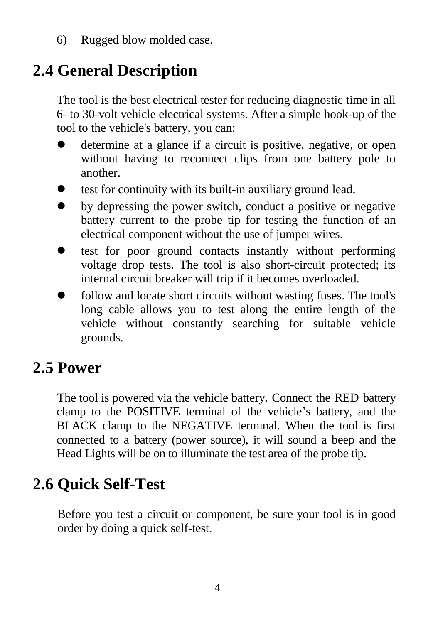6) Rugged blow molded case.

### <span id="page-4-0"></span>**2.4 General Description**

The tool is the best electrical tester for reducing diagnostic time in all 6- to 30-volt vehicle electrical systems. After a simple hook-up of the tool to the vehicle's battery, you can:

- determine at a glance if a circuit is positive, negative, or open without having to reconnect clips from one battery pole to another.
- test for continuity with its built-in auxiliary ground lead.
- by depressing the power switch, conduct a positive or negative battery current to the probe tip for testing the function of an electrical component without the use of jumper wires.
- test for poor ground contacts instantly without performing voltage drop tests. The tool is also short-circuit protected; its internal circuit breaker will trip if it becomes overloaded.
- follow and locate short circuits without wasting fuses. The tool's long cable allows you to test along the entire length of the vehicle without constantly searching for suitable vehicle grounds.

#### <span id="page-4-1"></span>**2.5 Power**

The tool is powered via the vehicle battery. Connect the RED battery clamp to the POSITIVE terminal of the vehicle"s battery, and the BLACK clamp to the NEGATIVE terminal. When the tool is first connected to a battery (power source), it will sound a beep and the Head Lights will be on to illuminate the test area of the probe tip.

## <span id="page-4-2"></span>**2.6 Quick Self-Test**

Before you test a circuit or component, be sure your tool is in good order by doing a quick self-test.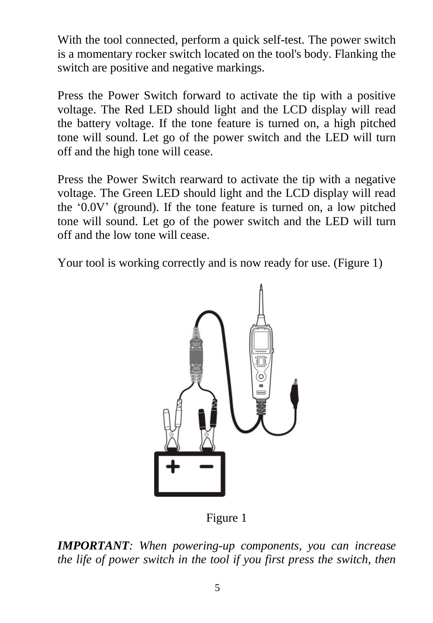With the tool connected, perform a quick self-test. The power switch is a momentary rocker switch located on the tool's body. Flanking the switch are positive and negative markings.

Press the Power Switch forward to activate the tip with a positive voltage. The Red LED should light and the LCD display will read the battery voltage. If the tone feature is turned on, a high pitched tone will sound. Let go of the power switch and the LED will turn off and the high tone will cease.

Press the Power Switch rearward to activate the tip with a negative voltage. The Green LED should light and the LCD display will read the "0.0V" (ground). If the tone feature is turned on, a low pitched tone will sound. Let go of the power switch and the LED will turn off and the low tone will cease.

Your tool is working correctly and is now ready for use. (Figure 1)



Figure 1

*IMPORTANT: When powering-up components, you can increase the life of power switch in the tool if you first press the switch, then*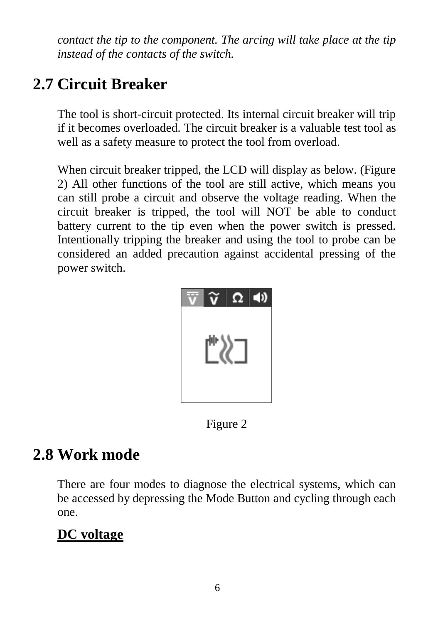*contact the tip to the component. The arcing will take place at the tip instead of the contacts of the switch.*

### <span id="page-6-0"></span>**2.7 Circuit Breaker**

The tool is short-circuit protected. Its internal circuit breaker will trip if it becomes overloaded. The circuit breaker is a valuable test tool as well as a safety measure to protect the tool from overload.

When circuit breaker tripped, the LCD will display as below. (Figure 2) All other functions of the tool are still active, which means you can still probe a circuit and observe the voltage reading. When the circuit breaker is tripped, the tool will NOT be able to conduct battery current to the tip even when the power switch is pressed. Intentionally tripping the breaker and using the tool to probe can be considered an added precaution against accidental pressing of the power switch.



Figure 2

#### <span id="page-6-1"></span>**2.8 Work mode**

There are four modes to diagnose the electrical systems, which can be accessed by depressing the Mode Button and cycling through each one.

#### **DC voltage**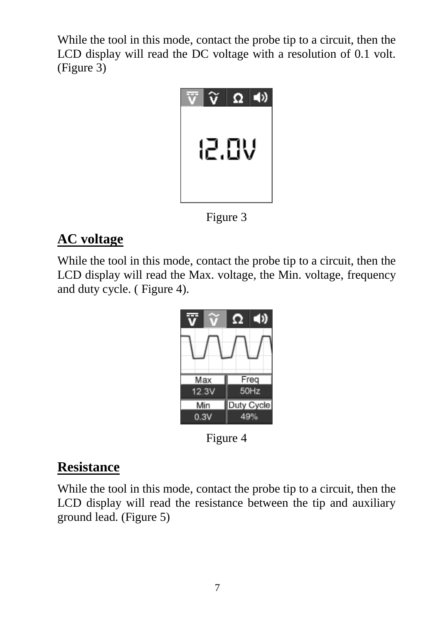While the tool in this mode, contact the probe tip to a circuit, then the LCD display will read the DC voltage with a resolution of 0.1 volt. (Figure 3)



Figure 3

#### **AC voltage**

While the tool in this mode, contact the probe tip to a circuit, then the LCD display will read the Max. voltage, the Min. voltage, frequency and duty cycle. ( Figure 4).



Figure 4

#### **Resistance**

While the tool in this mode, contact the probe tip to a circuit, then the LCD display will read the resistance between the tip and auxiliary ground lead. (Figure 5)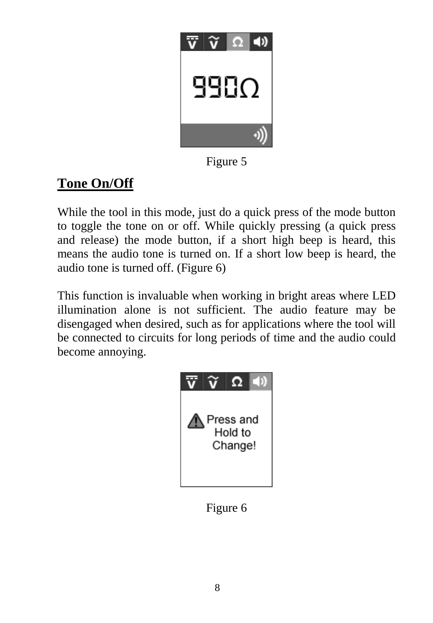

Figure 5

#### **Tone On/Off**

While the tool in this mode, just do a quick press of the mode button to toggle the tone on or off. While quickly pressing (a quick press and release) the mode button, if a short high beep is heard, this means the audio tone is turned on. If a short low beep is heard, the audio tone is turned off. (Figure 6)

This function is invaluable when working in bright areas where LED illumination alone is not sufficient. The audio feature may be disengaged when desired, such as for applications where the tool will be connected to circuits for long periods of time and the audio could become annoying.



Figure 6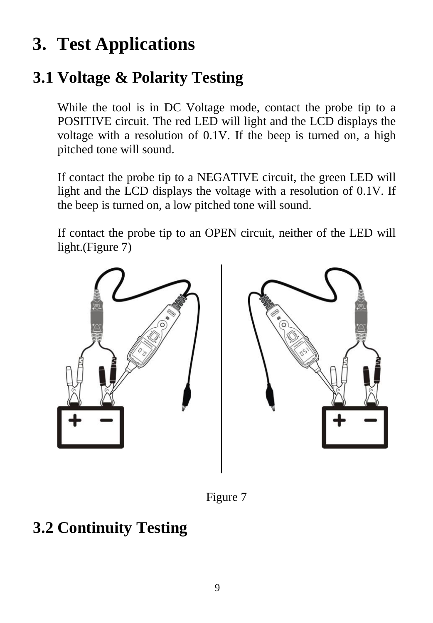# <span id="page-9-0"></span>**3. Test Applications**

## <span id="page-9-1"></span>**3.1 Voltage & Polarity Testing**

While the tool is in DC Voltage mode, contact the probe tip to a POSITIVE circuit. The red LED will light and the LCD displays the voltage with a resolution of 0.1V. If the beep is turned on, a high pitched tone will sound.

If contact the probe tip to a NEGATIVE circuit, the green LED will light and the LCD displays the voltage with a resolution of 0.1V. If the beep is turned on, a low pitched tone will sound.

If contact the probe tip to an OPEN circuit, neither of the LED will light.(Figure 7)



Figure 7

### <span id="page-9-2"></span>**3.2 Continuity Testing**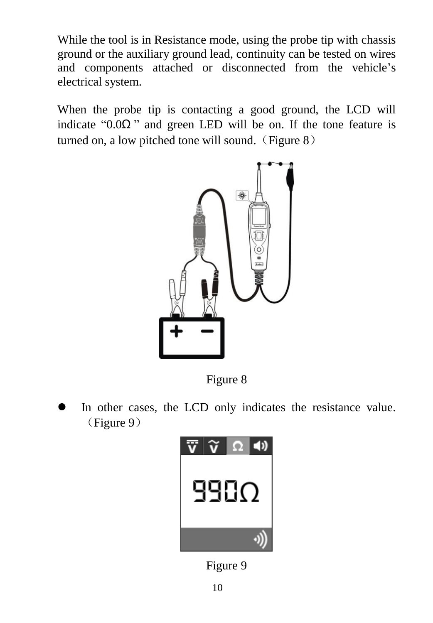While the tool is in Resistance mode, using the probe tip with chassis ground or the auxiliary ground lead, continuity can be tested on wires and components attached or disconnected from the vehicle"s electrical system.

When the probe tip is contacting a good ground, the LCD will indicate " $0.0\Omega$ " and green LED will be on. If the tone feature is turned on, a low pitched tone will sound. (Figure  $8$ )



Figure 8

 In other cases, the LCD only indicates the resistance value. (Figure 9)



Figure 9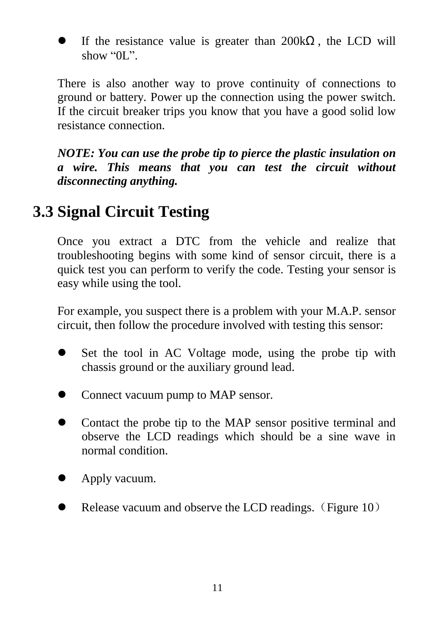If the resistance value is greater than  $200k\Omega$ , the LCD will show "0L".

There is also another way to prove continuity of connections to ground or battery. Power up the connection using the power switch. If the circuit breaker trips you know that you have a good solid low resistance connection.

*NOTE: You can use the probe tip to pierce the plastic insulation on a wire. This means that you can test the circuit without disconnecting anything.*

#### <span id="page-11-0"></span>**3.3 Signal Circuit Testing**

Once you extract a DTC from the vehicle and realize that troubleshooting begins with some kind of sensor circuit, there is a quick test you can perform to verify the code. Testing your sensor is easy while using the tool.

For example, you suspect there is a problem with your M.A.P. sensor circuit, then follow the procedure involved with testing this sensor:

- Set the tool in AC Voltage mode, using the probe tip with chassis ground or the auxiliary ground lead.
- Connect vacuum pump to MAP sensor.
- Contact the probe tip to the MAP sensor positive terminal and observe the LCD readings which should be a sine wave in normal condition.
- Apply vacuum.
- Release vacuum and observe the LCD readings. (Figure 10)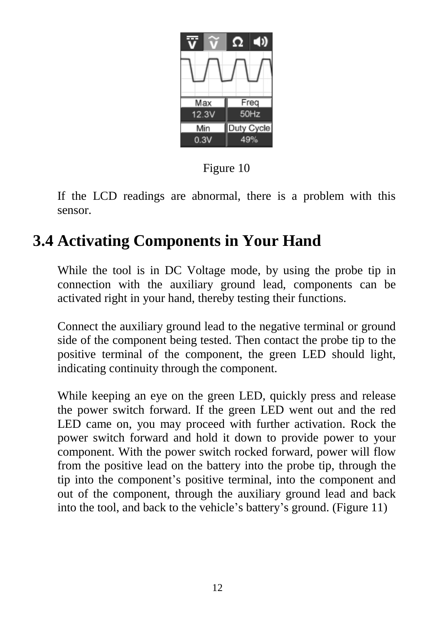

Figure 10

If the LCD readings are abnormal, there is a problem with this sensor.

#### <span id="page-12-0"></span>**3.4 Activating Components in Your Hand**

While the tool is in DC Voltage mode, by using the probe tip in connection with the auxiliary ground lead, components can be activated right in your hand, thereby testing their functions.

Connect the auxiliary ground lead to the negative terminal or ground side of the component being tested. Then contact the probe tip to the positive terminal of the component, the green LED should light, indicating continuity through the component.

While keeping an eye on the green LED, quickly press and release the power switch forward. If the green LED went out and the red LED came on, you may proceed with further activation. Rock the power switch forward and hold it down to provide power to your component. With the power switch rocked forward, power will flow from the positive lead on the battery into the probe tip, through the tip into the component"s positive terminal, into the component and out of the component, through the auxiliary ground lead and back into the tool, and back to the vehicle"s battery"s ground. (Figure 11)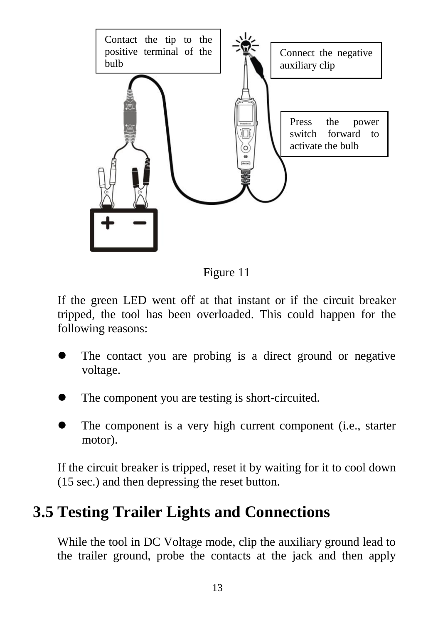

Figure 11

If the green LED went off at that instant or if the circuit breaker tripped, the tool has been overloaded. This could happen for the following reasons:

- The contact you are probing is a direct ground or negative voltage.
- The component you are testing is short-circuited.
- The component is a very high current component (i.e., starter motor).

If the circuit breaker is tripped, reset it by waiting for it to cool down (15 sec.) and then depressing the reset button.

#### <span id="page-13-0"></span>**3.5 Testing Trailer Lights and Connections**

While the tool in DC Voltage mode, clip the auxiliary ground lead to the trailer ground, probe the contacts at the jack and then apply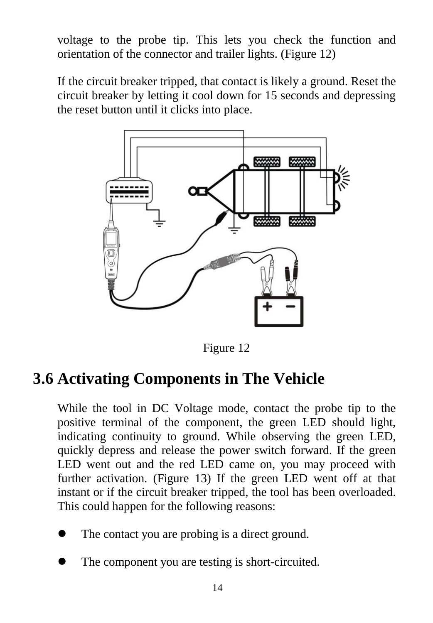voltage to the probe tip. This lets you check the function and orientation of the connector and trailer lights. (Figure 12)

If the circuit breaker tripped, that contact is likely a ground. Reset the circuit breaker by letting it cool down for 15 seconds and depressing the reset button until it clicks into place.



Figure 12

#### <span id="page-14-0"></span>**3.6 Activating Components in The Vehicle**

While the tool in DC Voltage mode, contact the probe tip to the positive terminal of the component, the green LED should light, indicating continuity to ground. While observing the green LED, quickly depress and release the power switch forward. If the green LED went out and the red LED came on, you may proceed with further activation. (Figure 13) If the green LED went off at that instant or if the circuit breaker tripped, the tool has been overloaded. This could happen for the following reasons:

- The contact you are probing is a direct ground.
- The component you are testing is short-circuited.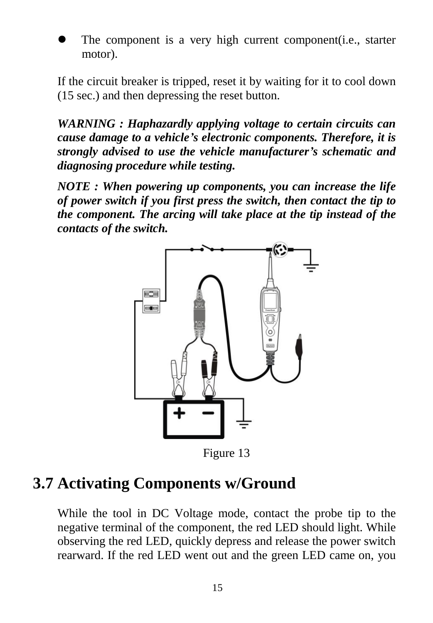

If the circuit breaker is tripped, reset it by waiting for it to cool down (15 sec.) and then depressing the reset button.

*WARNING : Haphazardly applying voltage to certain circuits can cause damage to a vehicle's electronic components. Therefore, it is strongly advised to use the vehicle manufacturer's schematic and diagnosing procedure while testing.*

*NOTE : When powering up components, you can increase the life of power switch if you first press the switch, then contact the tip to the component. The arcing will take place at the tip instead of the contacts of the switch.*



Figure 13

#### <span id="page-15-0"></span>**3.7 Activating Components w/Ground**

While the tool in DC Voltage mode, contact the probe tip to the negative terminal of the component, the red LED should light. While observing the red LED, quickly depress and release the power switch rearward. If the red LED went out and the green LED came on, you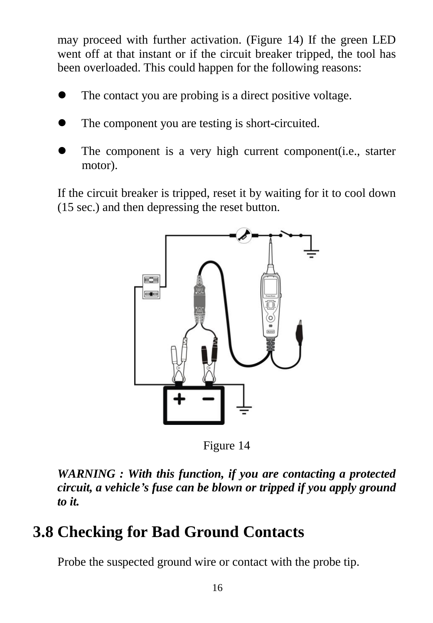may proceed with further activation. (Figure 14) If the green LED went off at that instant or if the circuit breaker tripped, the tool has been overloaded. This could happen for the following reasons:

- The contact you are probing is a direct positive voltage.
- The component you are testing is short-circuited.
- The component is a very high current component(i.e., starter motor).

If the circuit breaker is tripped, reset it by waiting for it to cool down (15 sec.) and then depressing the reset button.



Figure 14

*WARNING : With this function, if you are contacting a protected circuit, a vehicle's fuse can be blown or tripped if you apply ground to it.*

### <span id="page-16-0"></span>**3.8 Checking for Bad Ground Contacts**

Probe the suspected ground wire or contact with the probe tip.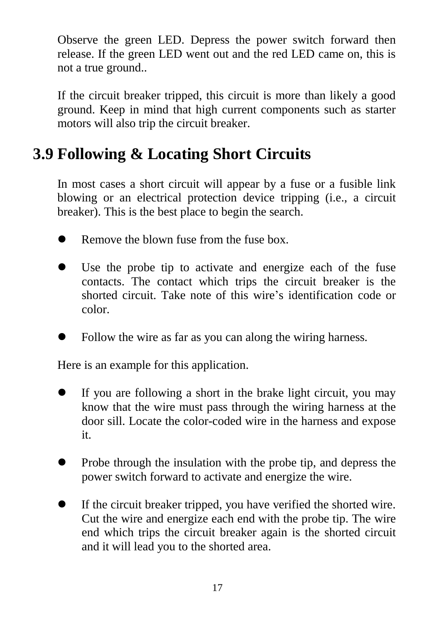Observe the green LED. Depress the power switch forward then release. If the green LED went out and the red LED came on, this is not a true ground..

If the circuit breaker tripped, this circuit is more than likely a good ground. Keep in mind that high current components such as starter motors will also trip the circuit breaker.

#### <span id="page-17-0"></span>**3.9 Following & Locating Short Circuits**

In most cases a short circuit will appear by a fuse or a fusible link blowing or an electrical protection device tripping (i.e., a circuit breaker). This is the best place to begin the search.

- Remove the blown fuse from the fuse box.
- Use the probe tip to activate and energize each of the fuse contacts. The contact which trips the circuit breaker is the shorted circuit. Take note of this wire"s identification code or color.
- Follow the wire as far as you can along the wiring harness.

Here is an example for this application.

- If you are following a short in the brake light circuit, you may know that the wire must pass through the wiring harness at the door sill. Locate the color-coded wire in the harness and expose it.
- Probe through the insulation with the probe tip, and depress the power switch forward to activate and energize the wire.
- If the circuit breaker tripped, you have verified the shorted wire. Cut the wire and energize each end with the probe tip. The wire end which trips the circuit breaker again is the shorted circuit and it will lead you to the shorted area.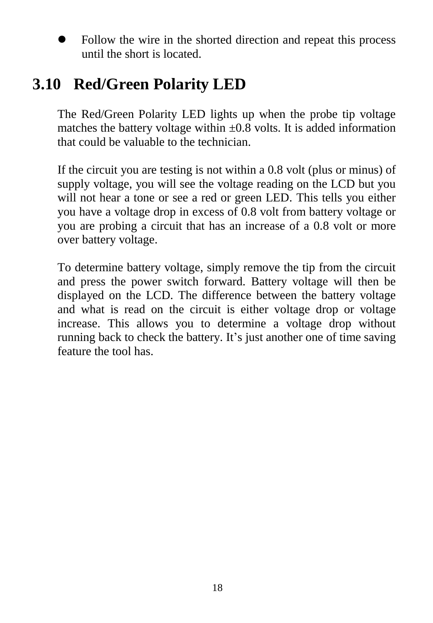Follow the wire in the shorted direction and repeat this process until the short is located.

#### <span id="page-18-0"></span>**3.10 Red/Green Polarity LED**

The Red/Green Polarity LED lights up when the probe tip voltage matches the battery voltage within  $\pm 0.8$  volts. It is added information that could be valuable to the technician.

If the circuit you are testing is not within a 0.8 volt (plus or minus) of supply voltage, you will see the voltage reading on the LCD but you will not hear a tone or see a red or green LED. This tells you either you have a voltage drop in excess of 0.8 volt from battery voltage or you are probing a circuit that has an increase of a 0.8 volt or more over battery voltage.

To determine battery voltage, simply remove the tip from the circuit and press the power switch forward. Battery voltage will then be displayed on the LCD. The difference between the battery voltage and what is read on the circuit is either voltage drop or voltage increase. This allows you to determine a voltage drop without running back to check the battery. It's just another one of time saving feature the tool has.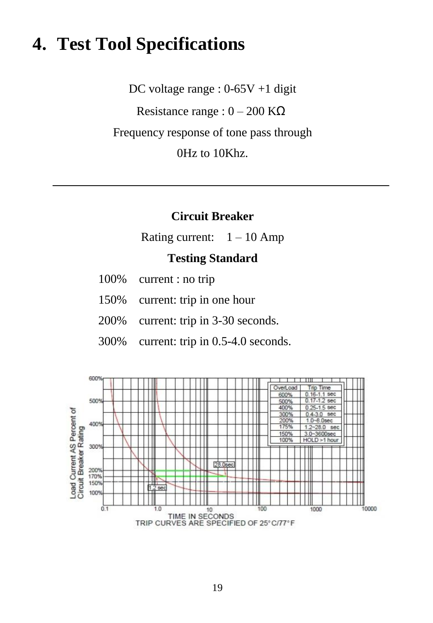### <span id="page-19-0"></span>**4. Test Tool Specifications**

DC voltage range : 0-65V +1 digit Resistance range :  $0 - 200$  K $\Omega$ Frequency response of tone pass through 0Hz to 10Khz.

#### **Circuit Breaker**

Rating current:  $1 - 10$  Amp

#### **Testing Standard**

|  | 100% | current : no trip |  |
|--|------|-------------------|--|
|--|------|-------------------|--|

- 150% current: trip in one hour
- 200% current: trip in 3-30 seconds.
- 300% current: trip in 0.5-4.0 seconds.

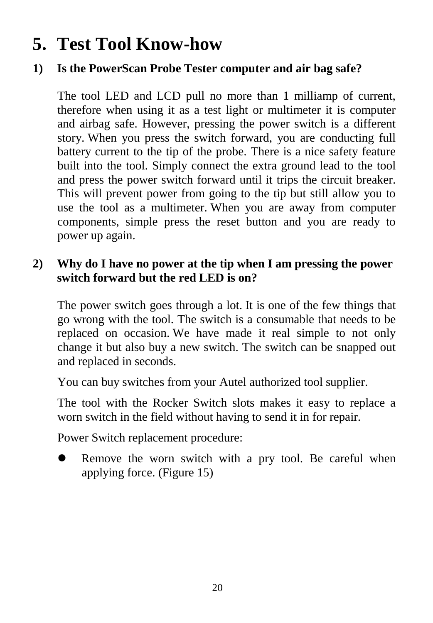# <span id="page-20-0"></span>**5. Test Tool Know-how**

#### **1) Is the PowerScan Probe Tester computer and air bag safe?**

The tool LED and LCD pull no more than 1 milliamp of current, therefore when using it as a test light or multimeter it is computer and airbag safe. However, pressing the power switch is a different story. When you press the switch forward, you are conducting full battery current to the tip of the probe. There is a nice safety feature built into the tool. Simply connect the extra ground lead to the tool and press the power switch forward until it trips the circuit breaker. This will prevent power from going to the tip but still allow you to use the tool as a multimeter. When you are away from computer components, simple press the reset button and you are ready to power up again.

#### **2) Why do I have no power at the tip when I am pressing the power switch forward but the red LED is on?**

The power switch goes through a lot. It is one of the few things that go wrong with the tool. The switch is a consumable that needs to be replaced on occasion. We have made it real simple to not only change it but also buy a new switch. The switch can be snapped out and replaced in seconds.

You can buy switches from your Autel authorized tool supplier.

The tool with the Rocker Switch slots makes it easy to replace a worn switch in the field without having to send it in for repair.

Power Switch replacement procedure:

 Remove the worn switch with a pry tool. Be careful when applying force. (Figure 15)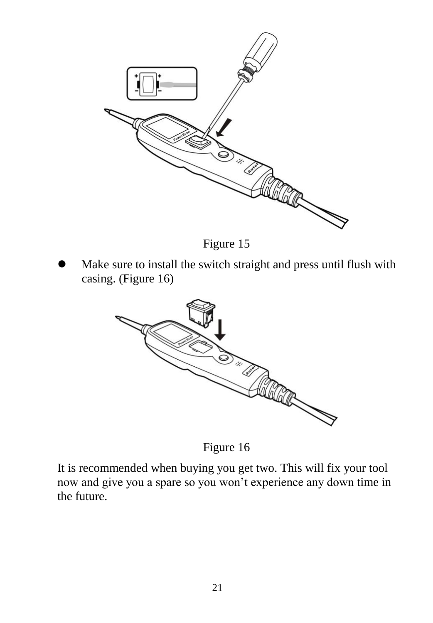



 Make sure to install the switch straight and press until flush with casing. (Figure 16)



Figure 16

It is recommended when buying you get two. This will fix your tool now and give you a spare so you won"t experience any down time in the future.